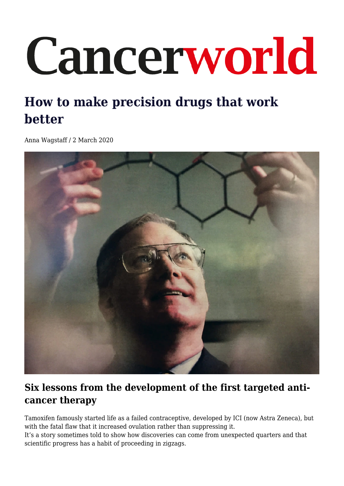# Cancerworld

## **How to make precision drugs that work better**

Anna Wagstaff / 2 March 2020



## **Six lessons from the development of the first targeted anticancer therapy**

Tamoxifen famously started life as a failed contraceptive, developed by ICI (now Astra Zeneca), but with the fatal flaw that it increased ovulation rather than suppressing it.

It's a story sometimes told to show how discoveries can come from unexpected quarters and that scientific progress has a habit of proceeding in zigzags.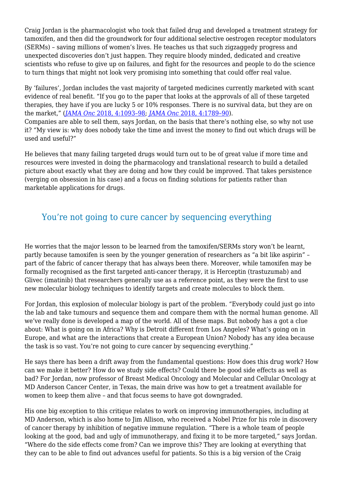Craig Jordan is the pharmacologist who took that failed drug and developed a treatment strategy for tamoxifen, and then did the groundwork for four additional selective oestrogen receptor modulators (SERMs) – saving millions of women's lives. He teaches us that such zigzaggedy progress and unexpected discoveries don't just happen. They require bloody minded, dedicated and creative scientists who refuse to give up on failures, and fight for the resources and people to do the science to turn things that might not look very promising into something that could offer real value.

By 'failures', Jordan includes the vast majority of targeted medicines currently marketed with scant evidence of real benefit. "If you go to the paper that looks at the approvals of all of these targeted therapies, they have if you are lucky 5 or 10% responses. There is no survival data, but they are on the market," (*[JAMA Onc](https://jamanetwork.com/journals/jamaoncology/fullarticle/2678901)* [2018, 4:1093–98](https://jamanetwork.com/journals/jamaoncology/fullarticle/2678901); *[JAMA Onc](https://jamanetwork.com/journals/jamaoncology/article-abstract/2713844)* [2018, 4:1789–90](https://jamanetwork.com/journals/jamaoncology/article-abstract/2713844)). Companies are able to sell them, says Jordan, on the basis that there's nothing else, so why not use it? "My view is: why does nobody take the time and invest the money to find out which drugs will be used and useful?"

He believes that many failing targeted drugs would turn out to be of great value if more time and resources were invested in doing the pharmacology and translational research to build a detailed picture about exactly what they are doing and how they could be improved. That takes persistence (verging on obsession in his case) and a focus on finding solutions for patients rather than marketable applications for drugs.

#### You're not going to cure cancer by sequencing everything

He worries that the major lesson to be learned from the tamoxifen/SERMs story won't be learnt, partly because tamoxifen is seen by the younger generation of researchers as "a bit like aspirin" – part of the fabric of cancer therapy that has always been there. Moreover, while tamoxifen may be formally recognised as the first targeted anti-cancer therapy, it is Herceptin (trastuzumab) and Glivec (imatinib) that researchers generally use as a reference point, as they were the first to use new molecular biology techniques to identify targets and create molecules to block them.

For Jordan, this explosion of molecular biology is part of the problem. "Everybody could just go into the lab and take tumours and sequence them and compare them with the normal human genome. All we've really done is developed a map of the world. All of these maps. But nobody has a got a clue about: What is going on in Africa? Why is Detroit different from Los Angeles? What's going on in Europe, and what are the interactions that create a European Union? Nobody has any idea because the task is so vast. You're not going to cure cancer by sequencing everything."

He says there has been a drift away from the fundamental questions: How does this drug work? How can we make it better? How do we study side effects? Could there be good side effects as well as bad? For Jordan, now professor of Breast Medical Oncology and Molecular and Cellular Oncology at MD Anderson Cancer Center, in Texas, the main drive was how to get a treatment available for women to keep them alive – and that focus seems to have got downgraded.

His one big exception to this critique relates to work on improving immunotherapies, including at MD Anderson, which is also home to Jim Allison, who received a Nobel Prize for his role in discovery of cancer therapy by inhibition of negative immune regulation. "There is a whole team of people looking at the good, bad and ugly of immunotherapy, and fixing it to be more targeted," says Jordan. "Where do the side effects come from? Can we improve this? They are looking at everything that they can to be able to find out advances useful for patients. So this is a big version of the Craig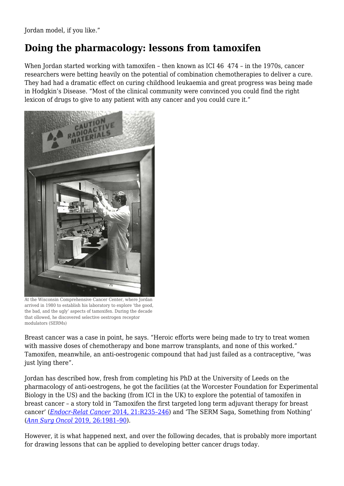Jordan model, if you like."

#### **Doing the pharmacology: lessons from tamoxifen**

When Jordan started working with tamoxifen – then known as ICI 46 474 – in the 1970s, cancer researchers were betting heavily on the potential of combination chemotherapies to deliver a cure. They had had a dramatic effect on curing childhood leukaemia and great progress was being made in Hodgkin's Disease. "Most of the clinical community were convinced you could find the right lexicon of drugs to give to any patient with any cancer and you could cure it."



At the Wisconsin Comprehensive Cancer Center, where Jordan arrived in 1980 to establish his laboratory to explore 'the good, the bad, and the ugly' aspects of tamoxifen. During the decade that ollowed, he discovered selective oestrogen receptor modulators (SERMs)

Breast cancer was a case in point, he says. "Heroic efforts were being made to try to treat women with massive doses of chemotherapy and bone marrow transplants, and none of this worked." Tamoxifen, meanwhile, an anti-oestrogenic compound that had just failed as a contraceptive, "was just lying there".

Jordan has described how, fresh from completing his PhD at the University of Leeds on the pharmacology of anti-oestrogens, he got the facilities (at the Worcester Foundation for Experimental Biology in the US) and the backing (from ICI in the UK) to explore the potential of tamoxifen in breast cancer – a story told in 'Tamoxifen the first targeted long term adjuvant therapy for breast cancer' (*[Endocr-Relat Cancer](https://erc.bioscientifica.com/view/journals/erc/21/3/R235.xml)* [2014, 21:R235–246](https://erc.bioscientifica.com/view/journals/erc/21/3/R235.xml)) and 'The SERM Saga, Something from Nothing' (*[Ann Surg Oncol](https://link.springer.com/article/10.1245%2Fs10434-018-6931-6)* [2019, 26:1981–90](https://link.springer.com/article/10.1245%2Fs10434-018-6931-6)).

However, it is what happened next, and over the following decades, that is probably more important for drawing lessons that can be applied to developing better cancer drugs today.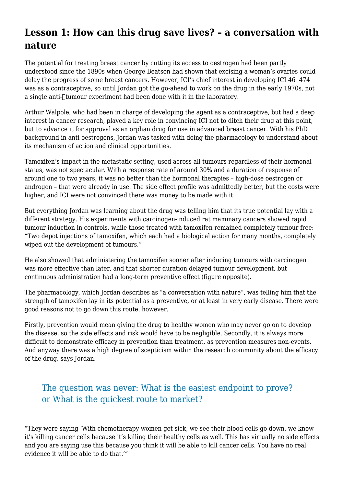#### **Lesson 1: How can this drug save lives? – a conversation with nature**

The potential for treating breast cancer by cutting its access to oestrogen had been partly understood since the 1890s when George Beatson had shown that excising a woman's ovaries could delay the progress of some breast cancers. However, ICI's chief interest in developing ICI 46 474 was as a contraceptive, so until Jordan got the go-ahead to work on the drug in the early 1970s, not a single anti- $\Box$ tumour experiment had been done with it in the laboratory.

Arthur Walpole, who had been in charge of developing the agent as a contraceptive, but had a deep interest in cancer research, played a key role in convincing ICI not to ditch their drug at this point, but to advance it for approval as an orphan drug for use in advanced breast cancer. With his PhD background in anti-oestrogens, Jordan was tasked with doing the pharmacology to understand about its mechanism of action and clinical opportunities.

Tamoxifen's impact in the metastatic setting, used across all tumours regardless of their hormonal status, was not spectacular. With a response rate of around 30% and a duration of response of around one to two years, it was no better than the hormonal therapies – high-dose oestrogen or androgen – that were already in use. The side effect profile was admittedly better, but the costs were higher, and ICI were not convinced there was money to be made with it.

But everything Jordan was learning about the drug was telling him that its true potential lay with a different strategy. His experiments with carcinogen-induced rat mammary cancers showed rapid tumour induction in controls, while those treated with tamoxifen remained completely tumour free: "Two depot injections of tamoxifen, which each had a biological action for many months, completely wiped out the development of tumours."

He also showed that administering the tamoxifen sooner after inducing tumours with carcinogen was more effective than later, and that shorter duration delayed tumour development, but continuous administration had a long-term preventive effect (figure opposite).

The pharmacology, which Jordan describes as "a conversation with nature", was telling him that the strength of tamoxifen lay in its potential as a preventive, or at least in very early disease. There were good reasons not to go down this route, however.

Firstly, prevention would mean giving the drug to healthy women who may never go on to develop the disease, so the side effects and risk would have to be negligible. Secondly, it is always more difficult to demonstrate efficacy in prevention than treatment, as prevention measures non-events. And anyway there was a high degree of scepticism within the research community about the efficacy of the drug, says Jordan.

#### The question was never: What is the easiest endpoint to prove? or What is the quickest route to market?

"They were saying 'With chemotherapy women get sick, we see their blood cells go down, we know it's killing cancer cells because it's killing their healthy cells as well. This has virtually no side effects and you are saying use this because you think it will be able to kill cancer cells. You have no real evidence it will be able to do that.'"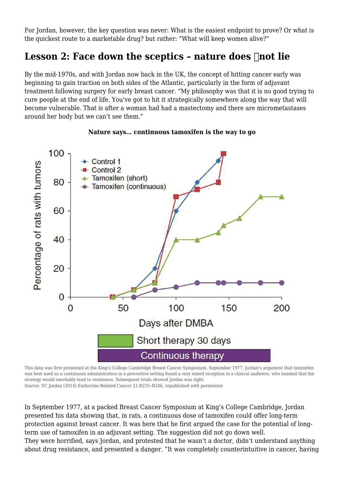For Jordan, however, the key question was never: What is the easiest endpoint to prove? Or what is the quickest route to a marketable drug? but rather: "What will keep women alive?"

#### Lesson 2: Face down the sceptics - nature does **not** lie

By the mid-1970s, and with Jordan now back in the UK, the concept of hitting cancer early was beginning to gain traction on both sides of the Atlantic, particularly in the form of adjuvant treatment following surgery for early breast cancer. "My philosophy was that it is no good trying to cure people at the end of life. You've got to hit it strategically somewhere along the way that will become vulnerable. That is after a woman had had a mastectomy and there are micrometastases around her body but we can't see them."



#### **Nature says… continuous tamoxifen is the way to go**

This data was first presented at the King's College Cambridge Breast Cancer Symposium, September 1977. Jordan's argument that tamoxifen was best used as a continuous administration in a preventive setting found a very mixed reception in a clinical audience, who insisted that the strategy would inevitably lead to resistance. Subsequent trials showed Jordan was right. *Source*: VC Jordan (2014) Endocrine-Related Cancer 21:R235–R246, republished with permission

In September 1977, at a packed Breast Cancer Symposium at King's College Cambridge, Jordan presented his data showing that, in rats, a continuous dose of tamoxifen could offer long-term protection against breast cancer. It was here that he first argued the case for the potential of longterm use of tamoxifen in an adjuvant setting. The suggestion did not go down well. They were horrified, says Jordan, and protested that he wasn't a doctor, didn't understand anything about drug resistance, and presented a danger. "It was completely counterintuitive in cancer, having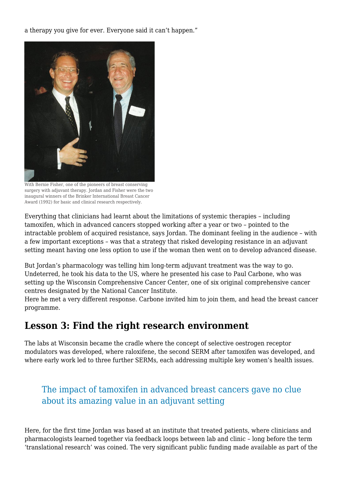a therapy you give for ever. Everyone said it can't happen."



With Bernie Fisher, one of the pioneers of breast conserving surgery with adjuvant therapy. Jordan and Fisher were the two inaugural winners of the Brinker International Breast Cancer Award (1992) for basic and clinical research respectively.

Everything that clinicians had learnt about the limitations of systemic therapies – including tamoxifen, which in advanced cancers stopped working after a year or two – pointed to the intractable problem of acquired resistance, says Jordan. The dominant feeling in the audience – with a few important exceptions – was that a strategy that risked developing resistance in an adjuvant setting meant having one less option to use if the woman then went on to develop advanced disease.

But Jordan's pharmacology was telling him long-term adjuvant treatment was the way to go. Undeterred, he took his data to the US, where he presented his case to Paul Carbone, who was setting up the Wisconsin Comprehensive Cancer Center, one of six original comprehensive cancer centres designated by the National Cancer Institute.

Here he met a very different response. Carbone invited him to join them, and head the breast cancer programme.

#### **Lesson 3: Find the right research environment**

The labs at Wisconsin became the cradle where the concept of selective oestrogen receptor modulators was developed, where raloxifene, the second SERM after tamoxifen was developed, and where early work led to three further SERMs, each addressing multiple key women's health issues.

#### The impact of tamoxifen in advanced breast cancers gave no clue about its amazing value in an adjuvant setting

Here, for the first time Jordan was based at an institute that treated patients, where clinicians and pharmacologists learned together via feedback loops between lab and clinic – long before the term 'translational research' was coined. The very significant public funding made available as part of the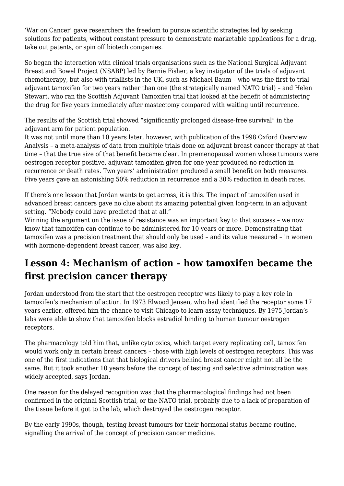'War on Cancer' gave researchers the freedom to pursue scientific strategies led by seeking solutions for patients, without constant pressure to demonstrate marketable applications for a drug, take out patents, or spin off biotech companies.

So began the interaction with clinical trials organisations such as the National Surgical Adjuvant Breast and Bowel Project (NSABP) led by Bernie Fisher, a key instigator of the trials of adjuvant chemotherapy, but also with triallists in the UK, such as Michael Baum – who was the first to trial adjuvant tamoxifen for two years rather than one (the strategically named NATO trial) – and Helen Stewart, who ran the Scottish Adjuvant Tamoxifen trial that looked at the benefit of administering the drug for five years immediately after mastectomy compared with waiting until recurrence.

The results of the Scottish trial showed "significantly prolonged disease-free survival" in the adjuvant arm for patient population.

It was not until more than 10 years later, however, with publication of the 1998 Oxford Overview Analysis – a meta-analysis of data from multiple trials done on adjuvant breast cancer therapy at that time – that the true size of that benefit became clear. In premenopausal women whose tumours were oestrogen receptor positive, adjuvant tamoxifen given for one year produced no reduction in recurrence or death rates. Two years' administration produced a small benefit on both measures. Five years gave an astonishing 50% reduction in recurrence and a 30% reduction in death rates.

If there's one lesson that Jordan wants to get across, it is this. The impact of tamoxifen used in advanced breast cancers gave no clue about its amazing potential given long-term in an adjuvant setting. "Nobody could have predicted that at all."

Winning the argument on the issue of resistance was an important key to that success – we now know that tamoxifen can continue to be administered for 10 years or more. Demonstrating that tamoxifen was a precision treatment that should only be used – and its value measured – in women with hormone-dependent breast cancer, was also key.

#### **Lesson 4: Mechanism of action – how tamoxifen became the first precision cancer therapy**

Jordan understood from the start that the oestrogen receptor was likely to play a key role in tamoxifen's mechanism of action. In 1973 Elwood Jensen, who had identified the receptor some 17 years earlier, offered him the chance to visit Chicago to learn assay techniques. By 1975 Jordan's labs were able to show that tamoxifen blocks estradiol binding to human tumour oestrogen receptors.

The pharmacology told him that, unlike cytotoxics, which target every replicating cell, tamoxifen would work only in certain breast cancers – those with high levels of oestrogen receptors. This was one of the first indications that that biological drivers behind breast cancer might not all be the same. But it took another 10 years before the concept of testing and selective administration was widely accepted, says Jordan.

One reason for the delayed recognition was that the pharmacological findings had not been confirmed in the original Scottish trial, or the NATO trial, probably due to a lack of preparation of the tissue before it got to the lab, which destroyed the oestrogen receptor.

By the early 1990s, though, testing breast tumours for their hormonal status became routine, signalling the arrival of the concept of precision cancer medicine.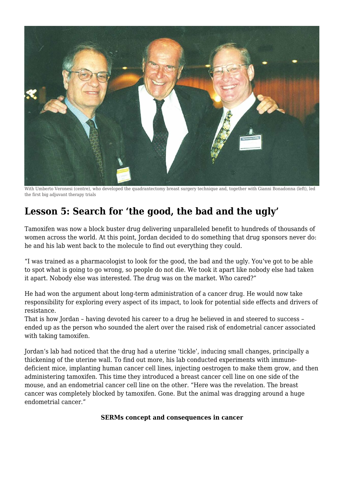

With Umberto Veronesi (centre), who developed the quadrantectomy breast surgery technique and, together with Gianni Bonadonna (left), led the first big adjuvant therapy trials

## **Lesson 5: Search for 'the good, the bad and the ugly'**

Tamoxifen was now a block buster drug delivering unparalleled benefit to hundreds of thousands of women across the world. At this point, Jordan decided to do something that drug sponsors never do: he and his lab went back to the molecule to find out everything they could.

"I was trained as a pharmacologist to look for the good, the bad and the ugly. You've got to be able to spot what is going to go wrong, so people do not die. We took it apart like nobody else had taken it apart. Nobody else was interested. The drug was on the market. Who cared?"

He had won the argument about long-term administration of a cancer drug. He would now take responsibility for exploring every aspect of its impact, to look for potential side effects and drivers of resistance.

That is how Jordan – having devoted his career to a drug he believed in and steered to success – ended up as the person who sounded the alert over the raised risk of endometrial cancer associated with taking tamoxifen.

Jordan's lab had noticed that the drug had a uterine 'tickle', inducing small changes, principally a thickening of the uterine wall. To find out more, his lab conducted experiments with immunedeficient mice, implanting human cancer cell lines, injecting oestrogen to make them grow, and then administering tamoxifen. This time they introduced a breast cancer cell line on one side of the mouse, and an endometrial cancer cell line on the other. "Here was the revelation. The breast cancer was completely blocked by tamoxifen. Gone. But the animal was dragging around a huge endometrial cancer."

#### **SERMs concept and consequences in cancer**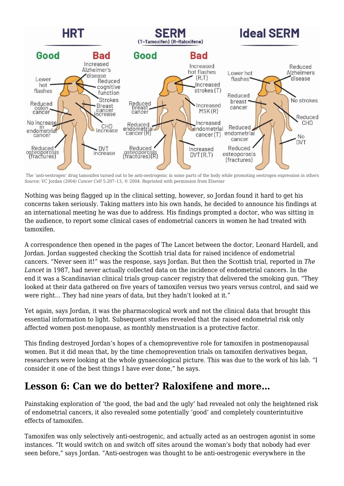![](_page_8_Figure_0.jpeg)

 The 'anti-oestrogen' drug tamoxifen turned out to be anti-oestrogenic in some parts of the body while promoting oestrogen expression in others *Source*: VC Jordan (2004) *Cancer Cell* 5:207–13, © 2004. Reprinted with permission from Elsevier

Nothing was being flagged up in the clinical setting, however, so Jordan found it hard to get his concerns taken seriously. Taking matters into his own hands, he decided to announce his findings at an international meeting he was due to address. His findings prompted a doctor, who was sitting in the audience, to report some clinical cases of endometrial cancers in women he had treated with tamoxifen.

A correspondence then opened in the pages of The Lancet between the doctor, Leonard Hardell, and Jordan. Jordan suggested checking the Scottish trial data for raised incidence of endometrial cancers. "Never seen it!" was the response, says Jordan. But then the Scottish trial, reported in *The Lancet* in 1987, had never actually collected data on the incidence of endometrial cancers. In the end it was a Scandinavian clinical trials group cancer registry that delivered the smoking gun. "They looked at their data gathered on five years of tamoxifen versus two years versus control, and said we were right… They had nine years of data, but they hadn't looked at it."

Yet again, says Jordan, it was the pharmacological work and not the clinical data that brought this essential information to light. Subsequent studies revealed that the raised endometrial risk only affected women post-menopause, as monthly menstruation is a protective factor.

This finding destroyed Jordan's hopes of a chemopreventive role for tamoxifen in postmenopausal women. But it did mean that, by the time chemoprevention trials on tamoxifen derivatives began, researchers were looking at the whole gynaecological picture. This was due to the work of his lab. "I consider it one of the best things I have ever done," he says.

#### **Lesson 6: Can we do better? Raloxifene and more…**

Painstaking exploration of 'the good, the bad and the ugly' had revealed not only the heightened risk of endometrial cancers, it also revealed some potentially 'good' and completely counterintuitive effects of tamoxifen.

Tamoxifen was only selectively anti-oestrogenic, and actually acted as an oestrogen agonist in some instances. "It would switch on and switch off sites around the woman's body that nobody had ever seen before," says Jordan. "Anti-oestrogen was thought to be anti-oestrogenic everywhere in the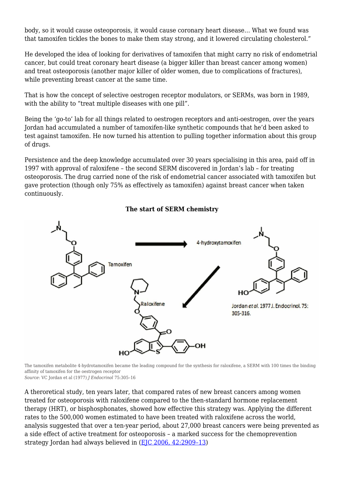body, so it would cause osteoporosis, it would cause coronary heart disease… What we found was that tamoxifen tickles the bones to make them stay strong, and it lowered circulating cholesterol."

He developed the idea of looking for derivatives of tamoxifen that might carry no risk of endometrial cancer, but could treat coronary heart disease (a bigger killer than breast cancer among women) and treat osteoporosis (another major killer of older women, due to complications of fractures), while preventing breast cancer at the same time.

That is how the concept of selective oestrogen receptor modulators, or SERMs, was born in 1989, with the ability to "treat multiple diseases with one pill".

Being the 'go-to' lab for all things related to oestrogen receptors and anti-oestrogen, over the years Jordan had accumulated a number of tamoxifen-like synthetic compounds that he'd been asked to test against tamoxifen. He now turned his attention to pulling together information about this group of drugs.

Persistence and the deep knowledge accumulated over 30 years specialising in this area, paid off in 1997 with approval of raloxifene – the second SERM discovered in Jordan's lab – for treating osteoporosis. The drug carried none of the risk of endometrial cancer associated with tamoxifen but gave protection (though only 75% as effectively as tamoxifen) against breast cancer when taken continuously.

![](_page_9_Figure_5.jpeg)

#### **The start of SERM chemistry**

The tamoxifen metabolite 4-hydrotamoxifen became the leading compound for the synthesis for raloxifene, a SERM with 100 times the binding affinity of tamoxifen for the oestrogen receptor *Source*: VC Jordan et al (1977) *J Endocrinol* 75:305–16

A theroretical study, ten years later, that compared rates of new breast cancers among women treated for osteoporosis with raloxifene compared to the then-standard hormone replacement therapy (HRT), or bisphosphonates, showed how effective this strategy was. Applying the different rates to the 500,000 women estimated to have been treated with raloxifene across the world, analysis suggested that over a ten-year period, about 27,000 breast cancers were being prevented as a side effect of active treatment for osteoporosis – a marked success for the chemoprevention strategy Jordan had always believed in [\(EJC 2006, 42:2909–13](https://www.ejcancer.com/article/S0959-8049(06)00845-8/fulltext))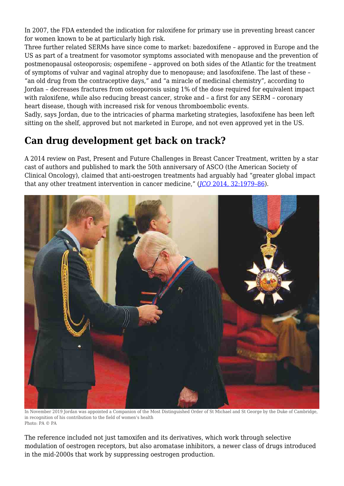In 2007, the FDA extended the indication for raloxifene for primary use in preventing breast cancer for women known to be at particularly high risk.

Three further related SERMs have since come to market: bazedoxifene – approved in Europe and the US as part of a treatment for vasomotor symptoms associated with menopause and the prevention of postmenopausal osteoporosis; ospemifene – approved on both sides of the Atlantic for the treatment of symptoms of vulvar and vaginal atrophy due to menopause; and lasofoxifene. The last of these – "an old drug from the contraceptive days," and "a miracle of medicinal chemistry", according to Jordan – decreases fractures from osteoporosis using 1% of the dose required for equivalent impact with raloxifene, while also reducing breast cancer, stroke and – a first for any SERM – coronary heart disease, though with increased risk for venous thromboembolic events.

Sadly, says Jordan, due to the intricacies of pharma marketing strategies, lasofoxifene has been left sitting on the shelf, approved but not marketed in Europe, and not even approved yet in the US.

## **Can drug development get back on track?**

A 2014 review on Past, Present and Future Challenges in Breast Cancer Treatment, written by a star cast of authors and published to mark the 50th anniversary of ASCO (the American Society of Clinical Oncology), claimed that anti-oestrogen treatments had arguably had "greater global impact that any other treatment intervention in cancer medicine," (*[JCO](https://ascopubs.org/doi/full/10.1200/jco.2014.55.4139)* [2014, 32:1979–86](https://ascopubs.org/doi/full/10.1200/jco.2014.55.4139)).

![](_page_10_Picture_5.jpeg)

In November 2019 Jordan was appointed a Companion of the Most Distinguished Order of St Michael and St George by the Duke of Cambridge, in recognition of his contribution to the field of women's health Photo: PA © PA

The reference included not just tamoxifen and its derivatives, which work through selective modulation of oestrogen receptors, but also aromatase inhibitors, a newer class of drugs introduced in the mid-2000s that work by suppressing oestrogen production.